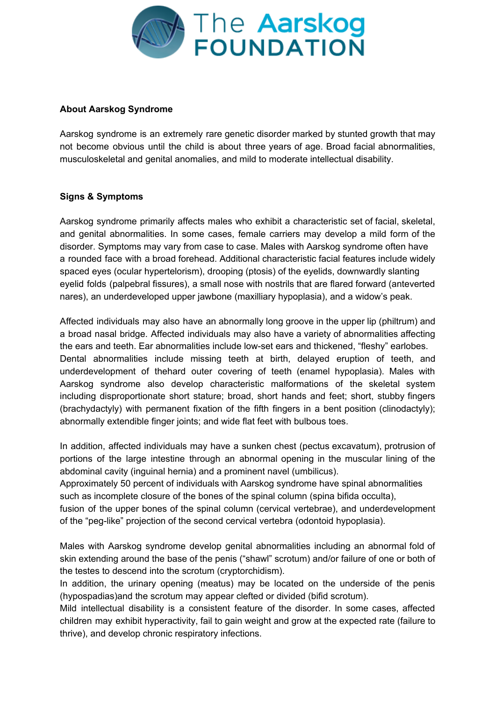

## **About Aarskog Syndrome**

Aarskog syndrome is an extremely rare genetic disorder marked by stunted growth that may not become obvious until the child is about three years of age. Broad facial abnormalities, musculoskeletal and genital anomalies, and mild to moderate intellectual disability.

## **Signs & Symptoms**

Aarskog syndrome primarily affects males who exhibit a characteristic set of facial, skeletal, and genital abnormalities. In some cases, female carriers may develop a mild form of the disorder. Symptoms may vary from case to case. Males with Aarskog syndrome often have a rounded face with a broad forehead. Additional characteristic facial features include widely spaced eyes (ocular hypertelorism), drooping (ptosis) of the eyelids, downwardly slanting eyelid folds (palpebral fissures), a small nose with nostrils that are flared forward (anteverted nares), an underdeveloped upper jawbone (maxilliary hypoplasia), and a widow's peak.

Affected individuals may also have an abnormally long groove in the upper lip (philtrum) and a broad nasal bridge. Affected individuals may also have a variety of abnormalities affecting the ears and teeth. Ear abnormalities include low-set ears and thickened, "fleshy" earlobes. Dental abnormalities include missing teeth at birth, delayed eruption of teeth, and underdevelopment of thehard outer covering of teeth (enamel hypoplasia). Males with Aarskog syndrome also develop characteristic malformations of the skeletal system including disproportionate short stature; broad, short hands and feet; short, stubby fingers (brachydactyly) with permanent fixation of the fifth fingers in a bent position (clinodactyly); abnormally extendible finger joints; and wide flat feet with bulbous toes.

In addition, affected individuals may have a sunken chest (pectus excavatum), protrusion of portions of the large intestine through an abnormal opening in the muscular lining of the abdominal cavity (inguinal hernia) and a prominent navel (umbilicus).

Approximately 50 percent of individuals with Aarskog syndrome have spinal abnormalities such as incomplete closure of the bones of the spinal column (spina bifida occulta),

fusion of the upper bones of the spinal column (cervical vertebrae), and underdevelopment of the "peg-like" projection of the second cervical vertebra (odontoid hypoplasia).

Males with Aarskog syndrome develop genital abnormalities including an abnormal fold of skin extending around the base of the penis ("shawl" scrotum) and/or failure of one or both of the testes to descend into the scrotum (cryptorchidism).

In addition, the urinary opening (meatus) may be located on the underside of the penis (hypospadias)and the scrotum may appear clefted or divided (bifid scrotum).

Mild intellectual disability is a consistent feature of the disorder. In some cases, affected children may exhibit hyperactivity, fail to gain weight and grow at the expected rate (failure to thrive), and develop chronic respiratory infections.